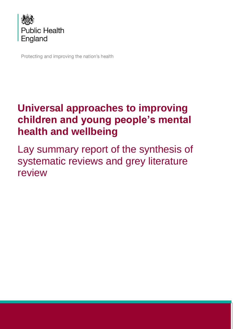

Protecting and improving the nation's health

# **Universal approaches to improving children and young people's mental health and wellbeing**

Lay summary report of the synthesis of systematic reviews and grey literature review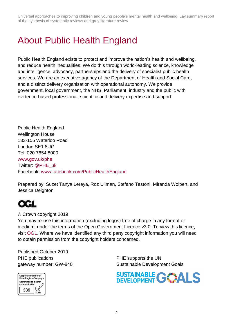Universal approaches to improving children and young people's mental health and wellbeing: Lay summary report of the synthesis of systematic reviews and grey literature review

# <span id="page-1-0"></span>About Public Health England

Public Health England exists to protect and improve the nation's health and wellbeing, and reduce health inequalities. We do this through world-leading science, knowledge and intelligence, advocacy, partnerships and the delivery of specialist public health services. We are an executive agency of the Department of Health and Social Care, and a distinct delivery organisation with operational autonomy. We provide government, local government, the NHS, Parliament, industry and the public with evidence-based professional, scientific and delivery expertise and support.

Public Health England Wellington House 133-155 Waterloo Road London SE1 8UG Tel: 020 7654 8000 [www.gov.uk/phe](http://www.gov.uk/phe) Twitter: [@PHE\\_uk](https://twitter.com/PHE_uk) Facebook: [www.facebook.com/PublicHealthEngland](http://www.facebook.com/PublicHealthEngland)

Prepared by: Suzet Tanya Lereya, Roz Ullman, Stefano Testoni, Miranda Wolpert, and Jessica Deighton

# QGL

#### © Crown copyright 2019

You may re-use this information (excluding logos) free of charge in any format or medium, under the terms of the Open Government Licence v3.0. To view this licence, visit [OGL.](https://www.nationalarchives.gov.uk/doc/open-government-licence/version/3/) Where we have identified any third party copyright information you will need to obtain permission from the copyright holders concerned.

Published October 2019 PHE publications **PHE** supports the UN



gateway number: GW-840 Sustainable Development Goals

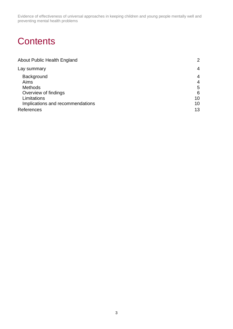# **Contents**

| <b>About Public Health England</b> | 2              |
|------------------------------------|----------------|
| Lay summary                        | $\overline{4}$ |
| Background                         | 4              |
| Aims                               | $\overline{4}$ |
| <b>Methods</b>                     | 5              |
| Overview of findings               | 6              |
| Limitations                        | 10             |
| Implications and recommendations   | 10             |
| References                         | 13             |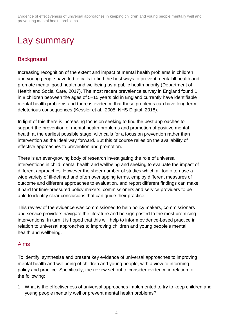<span id="page-3-0"></span>

# <span id="page-3-1"></span>**Background**

Increasing recognition of the extent and impact of mental health problems in children and young people have led to calls to find the best ways to prevent mental ill health and promote mental good health and wellbeing as a public health priority (Department of Health and Social Care, 2017). The most recent prevalence survey in England found 1 in 8 children between the ages of 5–15 years old in England currently have identifiable mental health problems and there is evidence that these problems can have long term deleterious consequences (Kessler et al., 2005; NHS Digital, 2018).

In light of this there is increasing focus on seeking to find the best approaches to support the prevention of mental health problems and promotion of positive mental health at the earliest possible stage, with calls for a focus on prevention rather than intervention as the ideal way forward. But this of course relies on the availability of effective approaches to prevention and promotion.

There is an ever-growing body of research investigating the role of universal interventions in child mental health and wellbeing and seeking to evaluate the impact of different approaches. However the sheer number of studies which all too often use a wide variety of ill-defined and often overlapping terms, employ different measures of outcome and different approaches to evaluation, and report different findings can make it hard for time-pressured policy makers, commissioners and service providers to be able to identify clear conclusions that can guide their practice.

This review of the evidence was commissioned to help policy makers, commissioners and service providers navigate the literature and be sign posted to the most promising interventions. In turn it is hoped that this will help to inform evidence-based practice in relation to universal approaches to improving children and young people's mental health and wellbeing.

## <span id="page-3-2"></span>Aims

To identify, synthesise and present key evidence of universal approaches to improving mental health and wellbeing of children and young people, with a view to informing policy and practice. Specifically, the review set out to consider evidence in relation to the following:

1. What is the effectiveness of universal approaches implemented to try to keep children and young people mentally well or prevent mental health problems?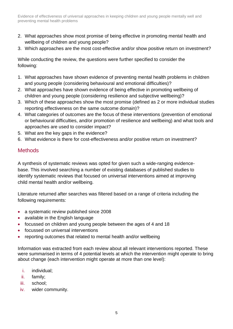- 2. What approaches show most promise of being effective in promoting mental health and wellbeing of children and young people?
- 3. Which approaches are the most cost-effective and/or show positive return on investment?

While conducting the review, the questions were further specified to consider the following:

- 1. What approaches have shown evidence of preventing mental health problems in children and young people (considering behavioural and emotional difficulties)?
- 2. What approaches have shown evidence of being effective in promoting wellbeing of children and young people (considering resilience and subjective wellbeing)?
- 3. Which of these approaches show the most promise (defined as 2 or more individual studies reporting effectiveness on the same outcome domain)?
- 4. What categories of outcomes are the focus of these interventions (prevention of emotional or behavioural difficulties, and/or promotion of resilience and wellbeing) and what tools and approaches are used to consider impact?
- 5. What are the key gaps in the evidence?
- 6. What evidence is there for cost-effectiveness and/or positive return on investment?

# <span id="page-4-0"></span>**Methods**

A synthesis of systematic reviews was opted for given such a wide-ranging evidencebase. This involved searching a number of existing databases of published studies to identify systematic reviews that focused on universal interventions aimed at improving child mental health and/or wellbeing.

Literature returned after searches was filtered based on a range of criteria including the following requirements:

- a systematic review published since 2008
- available in the English language
- focussed on children and young people between the ages of 4 and 18
- focussed on universal interventions
- reporting outcomes that related to mental health and/or wellbeing

Information was extracted from each review about all relevant interventions reported. These were summarised in terms of 4 potential levels at which the intervention might operate to bring about change (each intervention might operate at more than one level):

- i. individual;
- ii. family;
- iii. school;
- iv. wider community.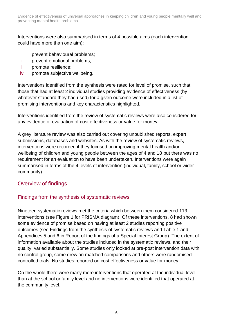Interventions were also summarised in terms of 4 possible aims (each intervention could have more than one aim):

- i. prevent behavioural problems;
- ii. prevent emotional problems;
- iii. promote resilience;
- iv. promote subjective wellbeing.

Interventions identified from the synthesis were rated for level of promise, such that those that had at least 2 individual studies providing evidence of effectiveness (by whatever standard they had used) for a given outcome were included in a list of promising interventions and key characteristics highlighted.

Interventions identified from the review of systematic reviews were also considered for any evidence of evaluation of cost effectiveness or value for money.

A grey literature review was also carried out covering unpublished reports, expert submissions, databases and websites. As with the review of systematic reviews, interventions were recorded if they focused on improving mental health and/or wellbeing of children and young people between the ages of 4 and 18 but there was no requirement for an evaluation to have been undertaken. Interventions were again summarised in terms of the 4 levels of intervention (individual, family, school or wider community).

## <span id="page-5-0"></span>Overview of findings

#### Findings from the synthesis of systematic reviews

Nineteen systematic reviews met the criteria which between them considered 113 interventions (see Figure 1 for PRISMA diagram). Of these interventions, 8 had shown some evidence of promise based on having at least 2 studies reporting positive outcomes (see Findings from the synthesis of systematic reviews and Table 1 and Appendices 5 and 6 in Report of the findings of a Special Interest Group). The extent of information available about the studies included in the systematic reviews, and their quality, varied substantially. Some studies only looked at pre-post intervention data with no control group, some drew on matched comparisons and others were randomised controlled trials. No studies reported on cost effectiveness or value for money.

On the whole there were many more interventions that operated at the individual level than at the school or family level and no interventions were identified that operated at the community level.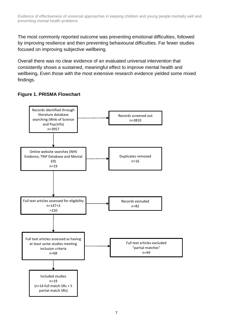The most commonly reported outcome was preventing emotional difficulties, followed by improving resilience and then preventing behavioural difficulties. Far fewer studies focused on improving subjective wellbeing.

Overall there was no clear evidence of an evaluated universal intervention that consistently shows a sustained, meaningful effect to improve mental health and wellbeing**.** Even those with the most extensive research evidence yielded some mixed findings.

## **Figure 1. PRISMA Flowchart**

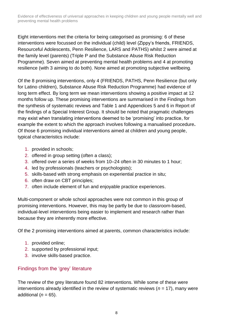Eight interventions met the criteria for being categorised as promising: 6 of these interventions were focussed on the individual (child) level (Zippy's friends, FRIENDS, Resourceful Adolescents, Penn Resilience, LARS and PATHS) whilst 2 were aimed at the family level (parents) (Triple P and the Substance Abuse Risk Reduction Programme). Seven aimed at preventing mental health problems and 4 at promoting resilience (with 3 aiming to do both). None aimed at promoting subjective wellbeing.

Of the 8 promising interventions, only 4 (FRIENDS, PATHS, Penn Resilience (but only for Latino children), Substance Abuse Risk Reduction Programme) had evidence of long term effect. By long term we mean interventions showing a positive impact at 12 months follow up. These promising interventions are summarised in the Findings from the synthesis of systematic reviews and Table 1 and Appendices 5 and 6 in Report of the findings of a Special Interest Group. It should be noted that pragmatic challenges may exist when translating interventions deemed to be 'promising' into practice, for example the extent to which the approach involves following a manualised procedure**.** Of those 6 promising individual interventions aimed at children and young people, typical characteristics include:

- 1. provided in schools;
- 2. offered in group setting (often a class);
- 3. offered over a series of weeks from 10–24 often in 30 minutes to 1 hour;
- 4. led by professionals (teachers or psychologists);
- 5. skills-based with strong emphasis on experiential practice in situ;
- 6. often draw on CBT principles;
- 7. often include element of fun and enjoyable practice experiences.

Multi-component or whole school approaches were not common in this group of promising interventions. However, this may be partly be due to classroom-based, individual-level interventions being easier to implement and research rather than because they are inherently more effective.

Of the 2 promising interventions aimed at parents, common characteristics include:

- 1. provided online;
- 2. supported by professional input;
- 3. involve skills-based practice.

## Findings from the 'grey' literature

The review of the grey literature found 82 interventions. While some of these were interventions already identified in the review of systematic reviews ( $n = 17$ ), many were additional  $(n = 65)$ .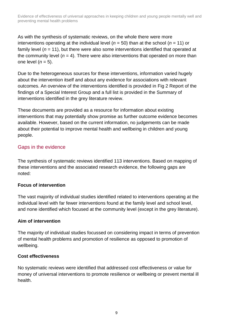As with the synthesis of systematic reviews, on the whole there were more interventions operating at the individual level (*n* = 50) than at the school (*n* = 11) or family level ( $n = 11$ ), but there were also some interventions identified that operated at the community level  $(n = 4)$ . There were also interventions that operated on more than one level (*n* = 5).

Due to the heterogeneous sources for these interventions, information varied hugely about the intervention itself and about any evidence for associations with relevant outcomes. An overview of the interventions identified is provided in Fig 2 Report of the findings of a Special Interest Group and a full list is provided in the Summary of interventions identified in the grey literature review.

These documents are provided as a resource for information about existing interventions that may potentially show promise as further outcome evidence becomes available. However, based on the current information, no judgements can be made about their potential to improve mental health and wellbeing in children and young people.

## Gaps in the evidence

The synthesis of systematic reviews identified 113 interventions. Based on mapping of these interventions and the associated research evidence, the following gaps are noted:

#### **Focus of intervention**

The vast majority of individual studies identified related to interventions operating at the individual level with far fewer interventions found at the family level and school level, and none identified which focused at the community level (except in the grey literature).

#### **Aim of intervention**

The majority of individual studies focussed on considering impact in terms of prevention of mental health problems and promotion of resilience as opposed to promotion of wellbeing.

#### **Cost effectiveness**

No systematic reviews were identified that addressed cost effectiveness or value for money of universal interventions to promote resilience or wellbeing or prevent mental ill health.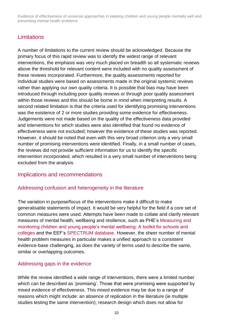# <span id="page-9-0"></span>**Limitations**

A number of limitations to the current review should be acknowledged. Because the primary focus of this rapid review was to identify the widest range of relevant interventions, the emphasis was very much placed on breadth so all systematic reviews above the threshold for relevant content were included with no quality assessment of these reviews incorporated. Furthermore, the quality assessments reported for individual studies were based on assessments made in the original systemic reviews rather than applying our own quality criteria. It is possible that bias may have been introduced through including poor quality reviews or through poor quality assessment within those reviews and this should be borne in mind when interpreting results. A second related limitation is that the criteria used for identifying promising interventions was the existence of 2 or more studies providing some evidence for effectiveness. Judgements were not made based on the quality of the effectiveness data provided and interventions for which studies were also identified that found no evidence of effectiveness were not excluded; however the existence of these studies was reported. However, it should be noted that even with this very broad criterion only a very small number of promising interventions were identified. Finally, in a small number of cases, the reviews did not provide sufficient information for us to identify the specific intervention incorporated, which resulted in a very small number of interventions being excluded from the analysis.

#### <span id="page-9-1"></span>Implications and recommendations

#### Addressing confusion and heterogeneity in the literature

The variation in purpose/focus of the interventions make it difficult to make generalisable statements of impact. It would be very helpful for the field if a core set of common measures were used. Attempts have been made to collate and clarify relevant measures of mental health, wellbeing and resilience, such as PHE's [Measuring and](https://www.corc.uk.net/media/1176/201609mental_health_toolkit_for_schools_and_colleges.pdf)  [monitoring children and young people's mental wellbeing: A toolkit for schools and](https://www.corc.uk.net/media/1176/201609mental_health_toolkit_for_schools_and_colleges.pdf)  [colleges](https://www.corc.uk.net/media/1176/201609mental_health_toolkit_for_schools_and_colleges.pdf) and the EEF's [SPECTRUM database.](https://educationendowmentfoundation.org.uk/projects-and-evaluation/evaluating-projects/measuring-essential-skills/spectrum-database/) However, the sheer number of mental health problem measures in particular makes a unified approach to a consistent evidence-base challenging, as does the variety of terms used to describe the same, similar or overlapping outcomes.

#### Addressing gaps in the evidence

While the review identified a wide range of interventions, there were a limited number which can be described as 'promising'. Those that were promising were supported by mixed evidence of effectiveness. This mixed evidence may be due to a range of reasons which might include: an absence of replication in the literature (ie multiple studies testing the same intervention); research design which does not allow for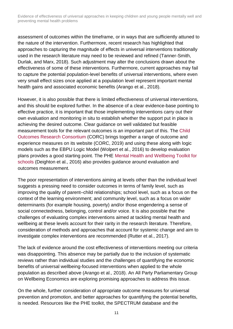assessment of outcomes within the timeframe, or in ways that are sufficiently attuned to the nature of the intervention. Furthermore, recent research has highlighted that approaches to capturing the magnitude of effects in universal interventions traditionally used in the research literature may need to be reviewed and refined (Tanner-Smith, Durlak, and Marx, 2018). Such adjustment may alter the conclusions drawn about the effectiveness of some of these interventions. Furthermore, current approaches may fail to capture the potential population-level benefits of universal interventions, where even very small effect sizes once applied at a population level represent important mental health gains and associated economic benefits (Arango et al., 2018).

However, it is also possible that there is limited effectiveness of universal interventions, and this should be explored further. In the absence of a clear evidence-base pointing to effective practice, it is important that those implementing interventions carry out their own evaluation and monitoring in situ to establish whether the support put in place is achieving the desired outcome. Clear guidance on well validated but feasible measurement tools for the relevant outcomes is an important part of this. The [Child](https://www.corc.uk.net/)  [Outcomes Research Consortium](https://www.corc.uk.net/) (CORC) brings together a range of outcome and experience measures on its website (CORC, 2019) and using these along with logic models such as the EBPU Logic Model (Wolpert et al., 2016) to develop evaluation plans provides a good starting point. The PHE [Mental Health and Wellbeing Toolkit for](https://www.corc.uk.net/information-hub/mental-health-and-wellbeing-toolkit-for-schools/)  [schools](https://www.corc.uk.net/information-hub/mental-health-and-wellbeing-toolkit-for-schools/) (Deighton et al., 2016) also provides guidance around evaluation and outcomes measurement.

The poor representation of interventions aiming at levels other than the individual level suggests a pressing need to consider outcomes in terms of family level, such as improving the quality of parent–child relationships; school level, such as a focus on the context of the learning environment; and community level, such as a focus on wider determinants (for example housing, poverty) and/or those engendering a sense of social connectedness, belonging, control and/or voice. It is also possible that the challenges of evaluating complex interventions aimed at tackling mental health and wellbeing at these levels account for their rarity in the research literature. Therefore, consideration of methods and approaches that account for systemic change and aim to investigate complex interventions are recommended (Rutter et al., 2017).

The lack of evidence around the cost effectiveness of interventions meeting our criteria was disappointing. This absence may be partially due to the inclusion of systematic reviews rather than individual studies and the challenges of quantifying the economic benefits of universal wellbeing-focused interventions when applied to the whole population as described above (Arango et al., 2018). An All Party Parliamentary Group on [Wellbeing Economics](https://wellbeingeconomics.co.uk/) are exploring promising approaches to address this issue.

On the whole, further consideration of appropriate outcome measures for universal prevention and promotion, and better approaches for quantifying the potential benefits, is needed. Resources like the PHE toolkit, the SPECTRUM database and the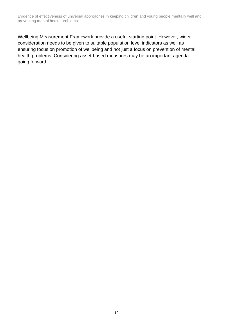Wellbeing Measurement Framework provide a useful starting point. However, wider consideration needs to be given to suitable population level indicators as well as ensuring focus on promotion of wellbeing and not just a focus on prevention of mental health problems. Considering asset-based measures may be an important agenda going forward.